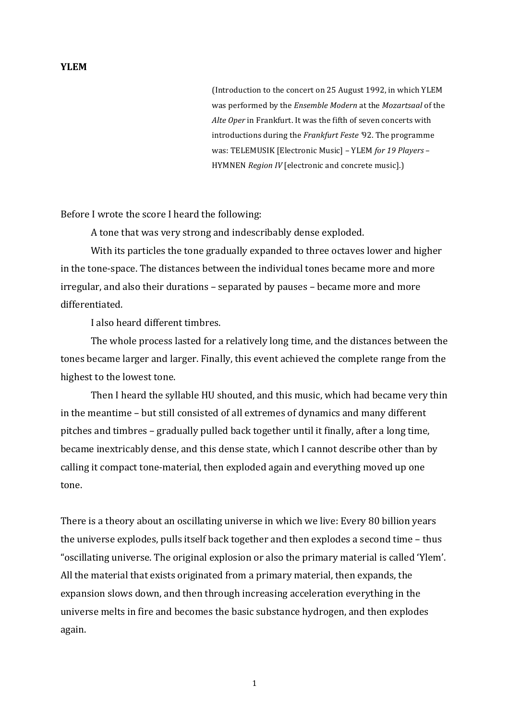## **YLEM**

(Introduction to the concert on 25 August 1992, in which YLEM was performed by the *Ensemble Modern* at the *Mozartsaal* of the Alte Oper in Frankfurt. It was the fifth of seven concerts with introductions during the *Frankfurt Feste* '92. The programme was: TELEMUSIK [Electronic Music] - YLEM *for 19 Players* -HYMNEN *Region IV* [electronic and concrete music].)

Before I wrote the score I heard the following:

A tone that was very strong and indescribably dense exploded.

With its particles the tone gradually expanded to three octaves lower and higher in the tone-space. The distances between the individual tones became more and more irregular, and also their durations – separated by pauses – became more and more differentiated.

I also heard different timbres.

The whole process lasted for a relatively long time, and the distances between the tones became larger and larger. Finally, this event achieved the complete range from the highest to the lowest tone.

Then I heard the syllable HU shouted, and this music, which had became very thin in the meantime – but still consisted of all extremes of dynamics and many different pitches and timbres – gradually pulled back together until it finally, after a long time, became inextricably dense, and this dense state, which I cannot describe other than by calling it compact tone-material, then exploded again and everything moved up one tone.

There is a theory about an oscillating universe in which we live: Every 80 billion years the universe explodes, pulls itself back together and then explodes a second time – thus "oscillating universe. The original explosion or also the primary material is called 'Ylem'. All the material that exists originated from a primary material, then expands, the expansion slows down, and then through increasing acceleration everything in the universe melts in fire and becomes the basic substance hydrogen, and then explodes again.

1